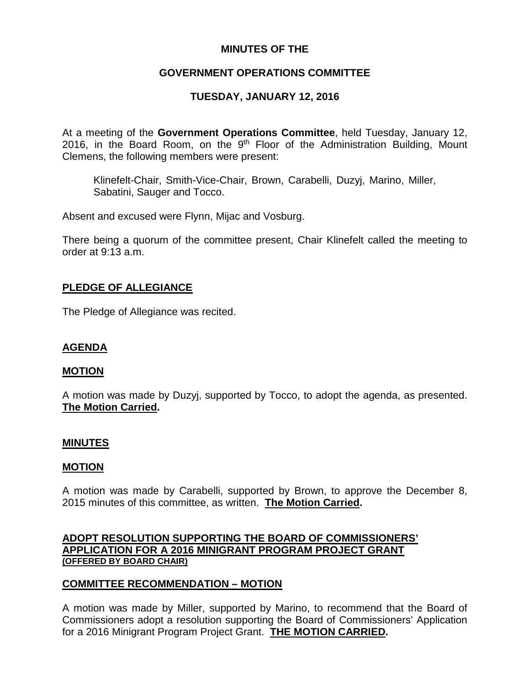## **MINUTES OF THE**

# **GOVERNMENT OPERATIONS COMMITTEE**

# **TUESDAY, JANUARY 12, 2016**

At a meeting of the **Government Operations Committee**, held Tuesday, January 12, 2016, in the Board Room, on the  $9<sup>th</sup>$  Floor of the Administration Building, Mount Clemens, the following members were present:

Klinefelt-Chair, Smith-Vice-Chair, Brown, Carabelli, Duzyj, Marino, Miller, Sabatini, Sauger and Tocco.

Absent and excused were Flynn, Mijac and Vosburg.

There being a quorum of the committee present, Chair Klinefelt called the meeting to order at 9:13 a.m.

# **PLEDGE OF ALLEGIANCE**

The Pledge of Allegiance was recited.

## **AGENDA**

### **MOTION**

A motion was made by Duzyj, supported by Tocco, to adopt the agenda, as presented. **The Motion Carried.**

### **MINUTES**

### **MOTION**

A motion was made by Carabelli, supported by Brown, to approve the December 8, 2015 minutes of this committee, as written. **The Motion Carried.**

### **ADOPT RESOLUTION SUPPORTING THE BOARD OF COMMISSIONERS' APPLICATION FOR A 2016 MINIGRANT PROGRAM PROJECT GRANT (OFFERED BY BOARD CHAIR)**

## **COMMITTEE RECOMMENDATION – MOTION**

A motion was made by Miller, supported by Marino, to recommend that the Board of Commissioners adopt a resolution supporting the Board of Commissioners' Application for a 2016 Minigrant Program Project Grant. **THE MOTION CARRIED.**